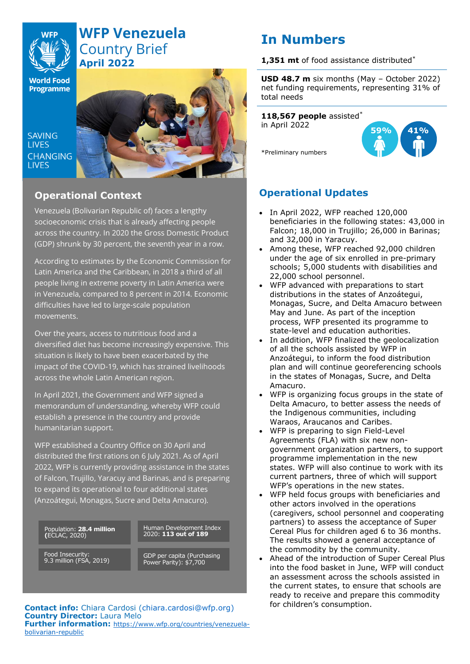# **WFP Venezuela** Country Brief **April 2022**

**World Food Programme** 

SAVING **TIVES CHANGING LIVES** 



# **Operational Context**

Venezuela (Bolivarian Republic of) faces a lengthy socioeconomic crisis that is already affecting people across the country. In 2020 the Gross Domestic Product (GDP) shrunk by 30 percent, the seventh year in a row.

According to estimates by the Economic Commission for Latin America and the Caribbean, in 2018 a third of all people living in extreme poverty in Latin America were in Venezuela, compared to 8 percent in 2014. Economic difficulties have led to large-scale population movements.

Over the years, access to nutritious food and a diversified diet has become increasingly expensive. This situation is likely to have been exacerbated by the impact of the COVID-19, which has strained livelihoods across the whole Latin American region.

In April 2021, the Government and WFP signed a memorandum of understanding, whereby WFP could establish a presence in the country and provide humanitarian support.

WFP established a Country Office on 30 April and distributed the first rations on 6 July 2021. As of April 2022, WFP is currently providing assistance in the states of Falcon, Trujillo, Yaracuy and Barinas, and is preparing to expand its operational to four additional states (Anzoátegui, Monagas, Sucre and Delta Amacuro).

Population: **28.4 million (**ECLAC, 2020)

Human Development Index 2020: **113 out of 189**

Food Insecurity: 9.3 million (FSA, 2019) GDP per capita (Purchasing Power Parity): \$7,700

**USD 48.7 m** six months (May – October 2022) net funding requirements, representing 31% of total needs

**1,351 mt** of food assistance distributed\*

**118,567 people** assisted\* in April 2022

\*Preliminary numbers

**In Numbers**

**59% 41%**

**Operational Updates**

- In April 2022, WFP reached 120,000 beneficiaries in the following states: 43,000 in Falcon; 18,000 in Trujillo; 26,000 in Barinas; and 32,000 in Yaracuy.
- Among these, WFP reached 92,000 children under the age of six enrolled in pre-primary schools; 5,000 students with disabilities and 22,000 school personnel.
- WFP advanced with preparations to start distributions in the states of Anzoátegui, Monagas, Sucre, and Delta Amacuro between May and June. As part of the inception process, WFP presented its programme to state-level and education authorities.
- In addition, WFP finalized the geolocalization of all the schools assisted by WFP in Anzoátegui, to inform the food distribution plan and will continue georeferencing schools in the states of Monagas, Sucre, and Delta Amacuro.
- WFP is organizing focus groups in the state of Delta Amacuro, to better assess the needs of the Indigenous communities, including Waraos, Araucanos and Caribes.
- WFP is preparing to sign Field-Level Agreements (FLA) with six new nongovernment organization partners, to support programme implementation in the new states. WFP will also continue to work with its current partners, three of which will support WFP's operations in the new states.
- WFP held focus groups with beneficiaries and other actors involved in the operations (caregivers, school personnel and cooperating partners) to assess the acceptance of Super Cereal Plus for children aged 6 to 36 months. The results showed a general acceptance of the commodity by the community.
- Ahead of the introduction of Super Cereal Plus into the food basket in June, WFP will conduct an assessment across the schools assisted in the current states, to ensure that schools are ready to receive and prepare this commodity

**Contact info:** Chiara Cardosi [\(chiara.cardosi@wfp.org\)](mailto:chiara.cardosi@wfp.org) for children's consumption. **Country Director:** Laura Melo **Further information:** [https://www.wfp.org/countries/venezuela](https://www.wfp.org/countries/venezuela-bolivarian-republic)[bolivarian-republic](https://www.wfp.org/countries/venezuela-bolivarian-republic)